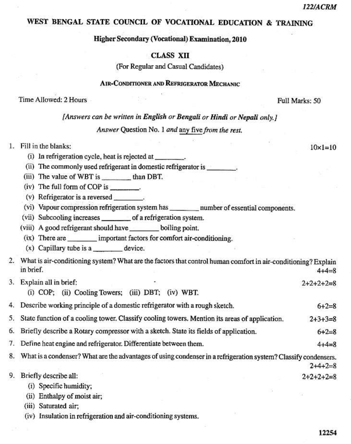$10 \times 1 = 10$ 

## WEST BENGAL STATE COUNCIL OF VOCATIONAL EDUCATION & TRAINING

# Higher Secondary (Vocational) Examination, 2010

### **CLASS XII**

(For Regular and Casual Candidates)

## **AIR-CONDITIONER AND REFRIGERATOR MECHANIC**

#### Time Allowed: 2 Hours

Full Marks: 50

### [Answers can be written in English or Bengali or Hindi or Nepali only.]

## Answer Question No. 1 and any five from the rest.

# 1. Fill in the blanks:

- (i) In refrigeration cycle, heat is rejected at \_\_\_\_\_\_\_\_\_.
- (ii) The commonly used refrigerant in domestic refrigerator is
- (iii) The value of WBT is \_\_\_\_\_\_\_\_\_ than DBT.
- (iv) The full form of COP is \_\_\_\_\_\_\_\_.
- (v) Refrigerator is a reversed \_\_\_\_\_\_\_\_.
- (vi) Vapour compression refrigeration system has \_\_\_\_\_\_\_\_\_ number of essential components.
- (vii) Subcooling increases \_\_\_\_\_\_\_\_\_ of a refrigeration system.
- (viii) A good refrigerant should have \_\_\_\_\_\_\_\_\_ boiling point.
- (ix) There are important factors for comfort air-conditioning.
- $(x)$  Capillary tube is a \_\_\_\_\_\_\_\_\_\_ device.

|  | 2. What is air-conditioning system? What are the factors that control human comfort in air-conditioning? Explain |             |  |
|--|------------------------------------------------------------------------------------------------------------------|-------------|--|
|  | in brief.                                                                                                        | $4 + 4 = 8$ |  |
|  |                                                                                                                  |             |  |

- 3. Explain all in brief:  $2+2+2+2=8$ 
	- (i) COP; (ii) Cooling Towers; (iii) DBT; (iv) WBT.
- 4. Describe working principle of a domestic refrigerator with a rough sketch.  $6 + 2 = 8$
- State function of a cooling tower. Classify cooling towers. Mention its areas of application. 5.  $2+3+3=8$
- Briefly describe a Rotary compressor with a sketch. State its fields of application. 6.  $6 + 2 = 8$
- 7. Define heat engine and refrigerator. Differentiate between them.
- 8. What is a condenser? What are the advantages of using condenser in a refrigeration system? Classify condensers.
- 9. Briefly describe all:  $2+2+2+2=8$ 
	- (i) Specific humidity;
	- (ii) Enthalpy of moist air;
	- (iii) Saturated air;
	- (iv) Insulation in refrigeration and air-conditioning systems.

12254

 $4 + 4 = 8$ 

 $2+4+2=8$